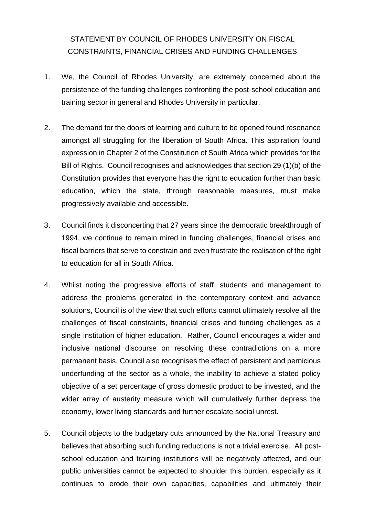## STATEMENT BY COUNCIL OF RHODES UNIVERSITY ON FISCAL CONSTRAINTS, FINANCIAL CRISES AND FUNDING CHALLENGES

- 1. We, the Council of Rhodes University, are extremely concerned about the persistence of the funding challenges confronting the post-school education and training sector in general and Rhodes University in particular.
- 2. The demand for the doors of learning and culture to be opened found resonance amongst all struggling for the liberation of South Africa. This aspiration found expression in Chapter 2 of the Constitution of South Africa which provides for the Bill of Rights. Council recognises and acknowledges that section 29 (1)(b) of the Constitution provides that everyone has the right to education further than basic education, which the state, through reasonable measures, must make progressively available and accessible.
- 3. Council finds it disconcerting that 27 years since the democratic breakthrough of 1994, we continue to remain mired in funding challenges, financial crises and fiscal barriers that serve to constrain and even frustrate the realisation of the right to education for all in South Africa.
- 4. Whilst noting the progressive efforts of staff, students and management to address the problems generated in the contemporary context and advance solutions, Council is of the view that such efforts cannot ultimately resolve all the challenges of fiscal constraints, financial crises and funding challenges as a single institution of higher education. Rather, Council encourages a wider and inclusive national discourse on resolving these contradictions on a more permanent basis. Council also recognises the effect of persistent and pernicious underfunding of the sector as a whole, the inability to achieve a stated policy objective of a set percentage of gross domestic product to be invested, and the wider array of austerity measure which will cumulatively further depress the economy, lower living standards and further escalate social unrest.
- 5. Council objects to the budgetary cuts announced by the National Treasury and believes that absorbing such funding reductions is not a trivial exercise. All postschool education and training institutions will be negatively affected, and our public universities cannot be expected to shoulder this burden, especially as it continues to erode their own capacities, capabilities and ultimately their